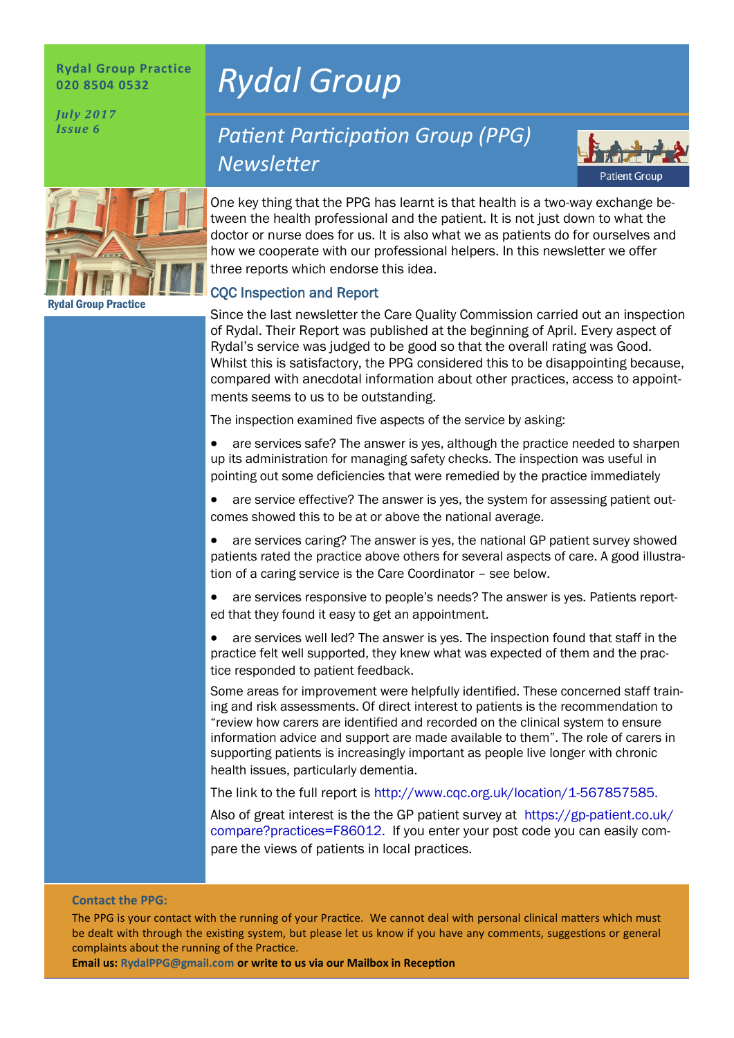#### **Rydal Group Practice 020 8504 0532**

*July 2017 Issue 6*

# *Rydal Group*

Rydal Group Practice

## *Patient Participation Group (PPG) Newsletter*



One key thing that the PPG has learnt is that health is a two-way exchange between the health professional and the patient. It is not just down to what the doctor or nurse does for us. It is also what we as patients do for ourselves and how we cooperate with our professional helpers. In this newsletter we offer three reports which endorse this idea.

### CQC Inspection and Report

Since the last newsletter the Care Quality Commission carried out an inspection of Rydal. Their Report was published at the beginning of April. Every aspect of Rydal's service was judged to be good so that the overall rating was Good. Whilst this is satisfactory, the PPG considered this to be disappointing because, compared with anecdotal information about other practices, access to appointments seems to us to be outstanding.

The inspection examined five aspects of the service by asking:

• are services safe? The answer is yes, although the practice needed to sharpen up its administration for managing safety checks. The inspection was useful in pointing out some deficiencies that were remedied by the practice immediately

• are service effective? The answer is yes, the system for assessing patient outcomes showed this to be at or above the national average.

• are services caring? The answer is yes, the national GP patient survey showed patients rated the practice above others for several aspects of care. A good illustration of a caring service is the Care Coordinator – see below.

are services responsive to people's needs? The answer is yes. Patients reported that they found it easy to get an appointment.

are services well led? The answer is yes. The inspection found that staff in the practice felt well supported, they knew what was expected of them and the practice responded to patient feedback.

Some areas for improvement were helpfully identified. These concerned staff training and risk assessments. Of direct interest to patients is the recommendation to "review how carers are identified and recorded on the clinical system to ensure information advice and support are made available to them". The role of carers in supporting patients is increasingly important as people live longer with chronic health issues, particularly dementia.

The link to the full report is http://www.cqc.org.uk/location/1-567857585.

Also of great interest is the the GP patient survey at https://gp-patient.co.uk/ compare?practices=F86012. If you enter your post code you can easily compare the views of patients in local practices.

#### **Contact the PPG:**

The PPG is your contact with the running of your Practice. We cannot deal with personal clinical matters which must be dealt with through the existing system, but please let us know if you have any comments, suggestions or general complaints about the running of the Practice.

**Email us: RydalPPG@gmail.com or write to us via our Mailbox in Reception**